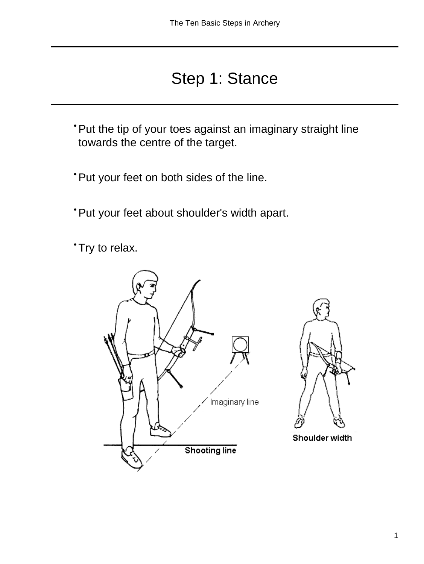### Step 1: Stance

- Put the tip of your toes against an imaginary straight line towards the centre of the target.
- Put your feet on both sides of the line.
- Put your feet about shoulder's width apart.
- Try to relax.





Shoulder width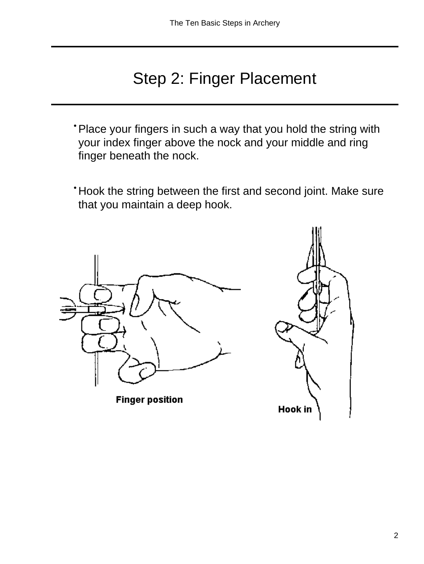### Step 2: Finger Placement

- Place your fingers in such a way that you hold the string with your index finger above the nock and your middle and ring finger beneath the nock.
- Hook the string between the first and second joint. Make sure that you maintain a deep hook.

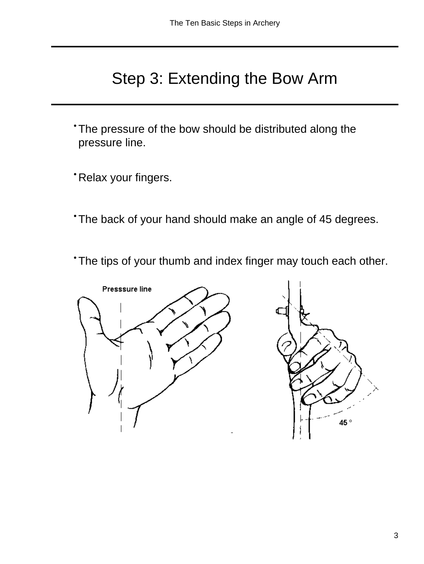### Step 3: Extending the Bow Arm

- The pressure of the bow should be distributed along the pressure line.
- Relax your fingers.
- The back of your hand should make an angle of 45 degrees.
- The tips of your thumb and index finger may touch each other.

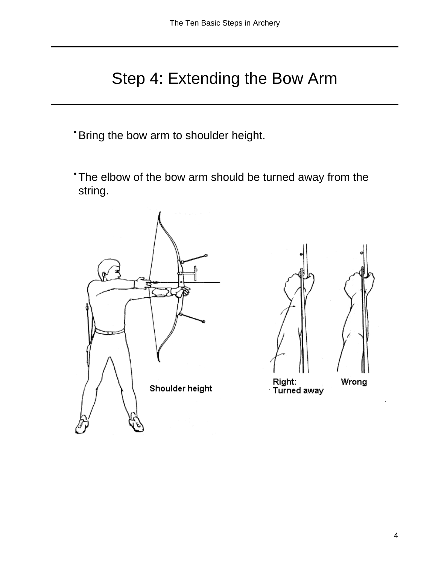### Step 4: Extending the Bow Arm

- Bring the bow arm to shoulder height.
- The elbow of the bow arm should be turned away from the string.





Right: Turned away

Wrong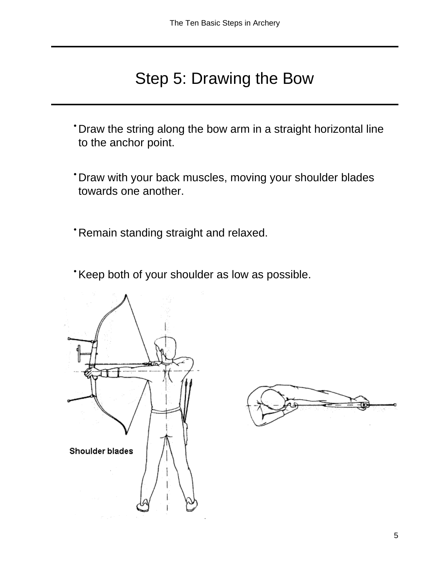#### Step 5: Drawing the Bow

- Draw the string along the bow arm in a straight horizontal line to the anchor point.
- Draw with your back muscles, moving your shoulder blades towards one another.
- Remain standing straight and relaxed.
- Keep both of your shoulder as low as possible.



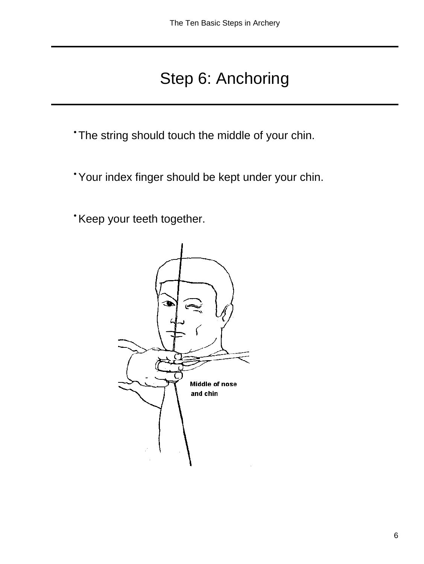## Step 6: Anchoring

• The string should touch the middle of your chin.

- Your index finger should be kept under your chin.
- Keep your teeth together.

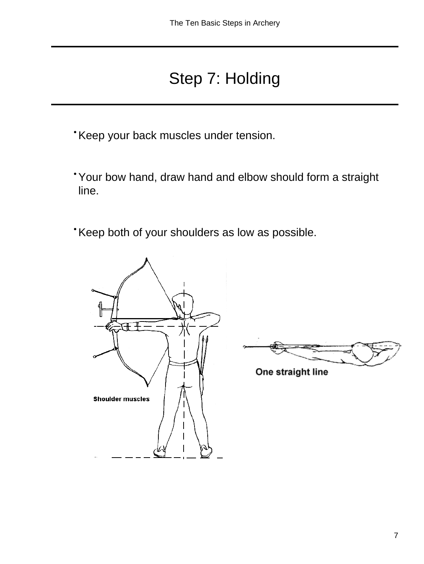## Step 7: Holding

- Keep your back muscles under tension.
- Your bow hand, draw hand and elbow should form a straight line.
- Keep both of your shoulders as low as possible.



One straight line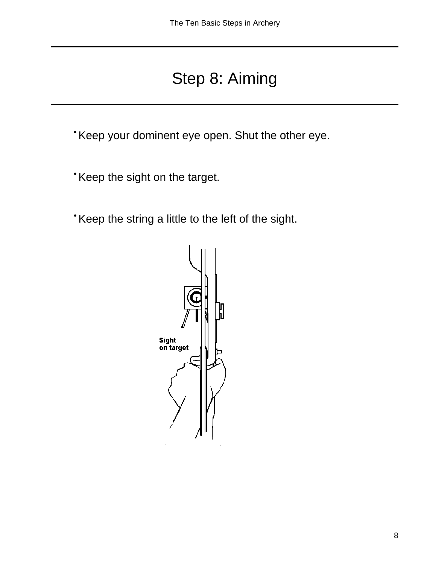### Step 8: Aiming

• Keep your dominent eye open. Shut the other eye.

- Keep the sight on the target.
- Keep the string a little to the left of the sight.

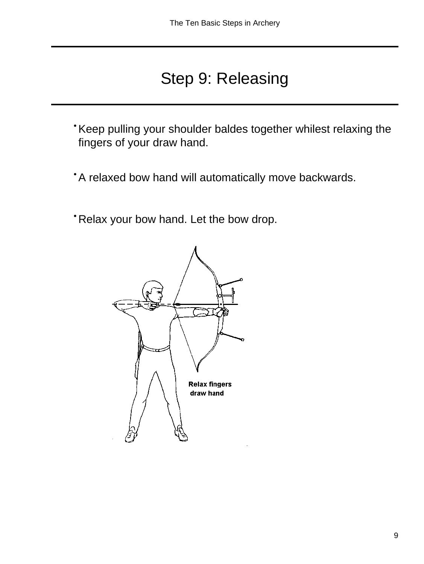### Step 9: Releasing

- Keep pulling your shoulder baldes together whilest relaxing the fingers of your draw hand.
- A relaxed bow hand will automatically move backwards.
- Relax your bow hand. Let the bow drop.

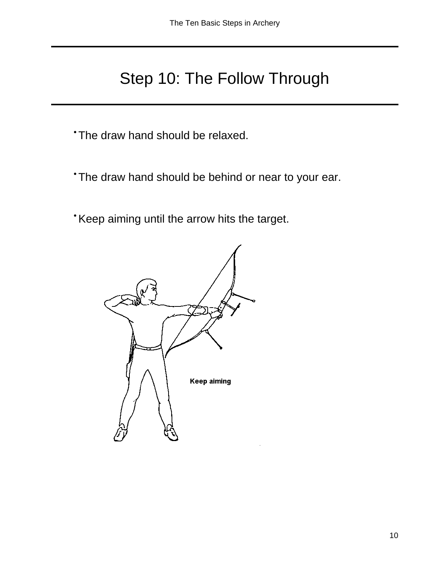### Step 10: The Follow Through

• The draw hand should be relaxed.

- The draw hand should be behind or near to your ear.
- Keep aiming until the arrow hits the target.